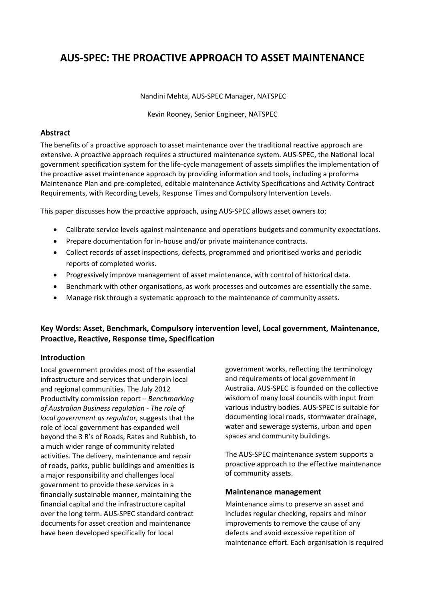# **AUS‐SPEC: THE PROACTIVE APPROACH TO ASSET MAINTENANCE**

Nandini Mehta, AUS‐SPEC Manager, NATSPEC

Kevin Rooney, Senior Engineer, NATSPEC

# **Abstract**

The benefits of a proactive approach to asset maintenance over the traditional reactive approach are extensive. A proactive approach requires a structured maintenance system. AUS‐SPEC, the National local government specification system for the life‐cycle management of assets simplifies the implementation of the proactive asset maintenance approach by providing information and tools, including a proforma Maintenance Plan and pre‐completed, editable maintenance Activity Specifications and Activity Contract Requirements, with Recording Levels, Response Times and Compulsory Intervention Levels.

This paper discusses how the proactive approach, using AUS‐SPEC allows asset owners to:

- Calibrate service levels against maintenance and operations budgets and community expectations.
- Prepare documentation for in‐house and/or private maintenance contracts.
- Collect records of asset inspections, defects, programmed and prioritised works and periodic reports of completed works.
- Progressively improve management of asset maintenance, with control of historical data.
- Benchmark with other organisations, as work processes and outcomes are essentially the same.
- Manage risk through a systematic approach to the maintenance of community assets.

# **Key Words: Asset, Benchmark, Compulsory intervention level, Local government, Maintenance, Proactive, Reactive, Response time, Specification**

# **Introduction**

Local government provides most of the essential infrastructure and services that underpin local and regional communities. The July 2012 Productivity commission report *– Benchmarking of Australian Business regulation ‐ The role of local government as regulator,* suggests that the role of local government has expanded well beyond the 3 R's of Roads, Rates and Rubbish, to a much wider range of community related activities. The delivery, maintenance and repair of roads, parks, public buildings and amenities is a major responsibility and challenges local government to provide these services in a financially sustainable manner, maintaining the financial capital and the infrastructure capital over the long term. AUS‐SPEC standard contract documents for asset creation and maintenance have been developed specifically for local

government works, reflecting the terminology and requirements of local government in Australia. AUS‐SPEC is founded on the collective wisdom of many local councils with input from various industry bodies. AUS‐SPEC is suitable for documenting local roads, stormwater drainage, water and sewerage systems, urban and open spaces and community buildings.

The AUS‐SPEC maintenance system supports a proactive approach to the effective maintenance of community assets.

# **Maintenance management**

Maintenance aims to preserve an asset and includes regular checking, repairs and minor improvements to remove the cause of any defects and avoid excessive repetition of maintenance effort. Each organisation is required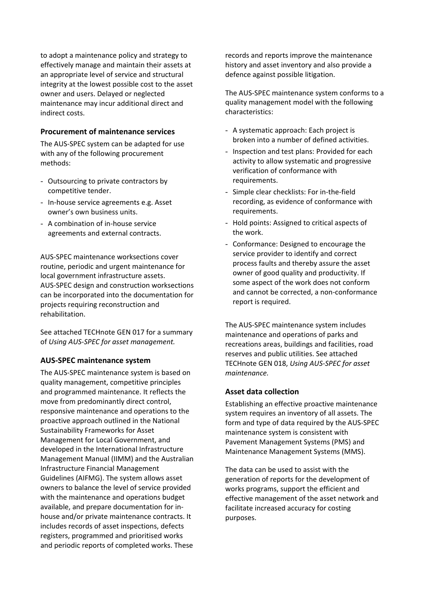to adopt a maintenance policy and strategy to effectively manage and maintain their assets at an appropriate level of service and structural integrity at the lowest possible cost to the asset owner and users. Delayed or neglected maintenance may incur additional direct and indirect costs.

# **Procurement of maintenance services**

The AUS‐SPEC system can be adapted for use with any of the following procurement methods:

- Outsourcing to private contractors by competitive tender.
- In‐house service agreements e.g. Asset owner's own business units.
- A combination of in‐house service agreements and external contracts.

AUS‐SPEC maintenance worksections cover routine, periodic and urgent maintenance for local government infrastructure assets. AUS‐SPEC design and construction worksections can be incorporated into the documentation for projects requiring reconstruction and rehabilitation.

See attached TECHnote GEN 017 for a summary of *Using AUS‐SPEC for asset management.*

# **AUS‐SPEC maintenance system**

The AUS‐SPEC maintenance system is based on quality management, competitive principles and programmed maintenance. It reflects the move from predominantly direct control, responsive maintenance and operations to the proactive approach outlined in the National Sustainability Frameworks for Asset Management for Local Government, and developed in the International Infrastructure Management Manual (IIMM) and the Australian Infrastructure Financial Management Guidelines (AIFMG). The system allows asset owners to balance the level of service provided with the maintenance and operations budget available, and prepare documentation for in‐ house and/or private maintenance contracts. It includes records of asset inspections, defects registers, programmed and prioritised works and periodic reports of completed works. These

records and reports improve the maintenance history and asset inventory and also provide a defence against possible litigation.

The AUS‐SPEC maintenance system conforms to a quality management model with the following characteristics:

- A systematic approach: Each project is broken into a number of defined activities.
- Inspection and test plans: Provided for each activity to allow systematic and progressive verification of conformance with requirements.
- Simple clear checklists: For in-the-field recording, as evidence of conformance with requirements.
- Hold points: Assigned to critical aspects of the work.
- Conformance: Designed to encourage the service provider to identify and correct process faults and thereby assure the asset owner of good quality and productivity. If some aspect of the work does not conform and cannot be corrected, a non‐conformance report is required.

The AUS‐SPEC maintenance system includes maintenance and operations of parks and recreations areas, buildings and facilities, road reserves and public utilities. See attached TECHnote GEN 018, *Using AUS‐SPEC for asset maintenance.*

# **Asset data collection**

Establishing an effective proactive maintenance system requires an inventory of all assets. The form and type of data required by the AUS‐SPEC maintenance system is consistent with Pavement Management Systems (PMS) and Maintenance Management Systems (MMS).

The data can be used to assist with the generation of reports for the development of works programs, support the efficient and effective management of the asset network and facilitate increased accuracy for costing purposes.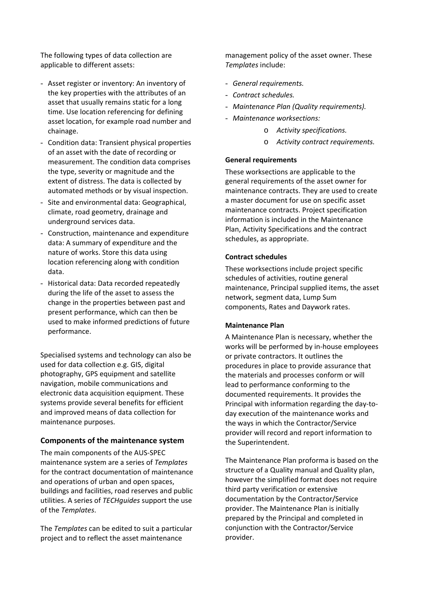The following types of data collection are applicable to different assets:

- Asset register or inventory: An inventory of the key properties with the attributes of an asset that usually remains static for a long time. Use location referencing for defining asset location, for example road number and chainage.
- Condition data: Transient physical properties of an asset with the date of recording or measurement. The condition data comprises the type, severity or magnitude and the extent of distress. The data is collected by automated methods or by visual inspection.
- Site and environmental data: Geographical, climate, road geometry, drainage and underground services data.
- Construction, maintenance and expenditure data: A summary of expenditure and the nature of works. Store this data using location referencing along with condition data.
- Historical data: Data recorded repeatedly during the life of the asset to assess the change in the properties between past and present performance, which can then be used to make informed predictions of future performance.

Specialised systems and technology can also be used for data collection e.g. GIS, digital photography, GPS equipment and satellite navigation, mobile communications and electronic data acquisition equipment. These systems provide several benefits for efficient and improved means of data collection for maintenance purposes.

# **Components of the maintenance system**

The main components of the AUS‐SPEC maintenance system are a series of *Templates* for the contract documentation of maintenance and operations of urban and open spaces, buildings and facilities, road reserves and public utilities. A series of *TECHguides* support the use of the *Templates*.

The *Templates* can be edited to suit a particular project and to reflect the asset maintenance

management policy of the asset owner. These *Templates* include:

- *General requirements.*
- *Contract schedules.*
- *Maintenance Plan (Quality requirements).*
- *Maintenance worksections:*
	- o *Activity specifications.*
	- o *Activity contract requirements.*

# **General requirements**

These worksections are applicable to the general requirements of the asset owner for maintenance contracts. They are used to create a master document for use on specific asset maintenance contracts. Project specification information is included in the Maintenance Plan, Activity Specifications and the contract schedules, as appropriate.

# **Contract schedules**

These worksections include project specific schedules of activities, routine general maintenance, Principal supplied items, the asset network, segment data, Lump Sum components, Rates and Daywork rates.

# **Maintenance Plan**

A Maintenance Plan is necessary, whether the works will be performed by in‐house employees or private contractors. It outlines the procedures in place to provide assurance that the materials and processes conform or will lead to performance conforming to the documented requirements. It provides the Principal with information regarding the day‐to‐ day execution of the maintenance works and the ways in which the Contractor/Service provider will record and report information to the Superintendent.

The Maintenance Plan proforma is based on the structure of a Quality manual and Quality plan, however the simplified format does not require third party verification or extensive documentation by the Contractor/Service provider. The Maintenance Plan is initially prepared by the Principal and completed in conjunction with the Contractor/Service provider.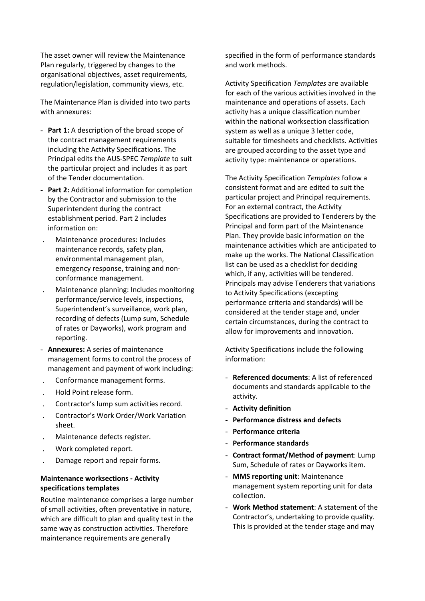The asset owner will review the Maintenance Plan regularly, triggered by changes to the organisational objectives, asset requirements, regulation/legislation, community views, etc.

The Maintenance Plan is divided into two parts with annexures:

- **Part 1:** A description of the broad scope of the contract management requirements including the Activity Specifications. The Principal edits the AUS‐SPEC *Template* to suit the particular project and includes it as part of the Tender documentation.
- **Part 2:** Additional information for completion by the Contractor and submission to the Superintendent during the contract establishment period. Part 2 includes information on:
- . Maintenance procedures: Includes maintenance records, safety plan, environmental management plan, emergency response, training and non‐ conformance management.
- . Maintenance planning: Includes monitoring performance/service levels, inspections, Superintendent's surveillance, work plan, recording of defects (Lump sum, Schedule of rates or Dayworks), work program and reporting.
- **Annexures:** A series of maintenance management forms to control the process of management and payment of work including:
- . Conformance management forms.
- . Hold Point release form.
- . Contractor's lump sum activities record.
- . Contractor's Work Order/Work Variation sheet.
- . Maintenance defects register.
- . Work completed report.
- . Damage report and repair forms.

# **Maintenance worksections ‐ Activity specifications templates**

Routine maintenance comprises a large number of small activities, often preventative in nature, which are difficult to plan and quality test in the same way as construction activities. Therefore maintenance requirements are generally

specified in the form of performance standards and work methods.

Activity Specification *Templates* are available for each of the various activities involved in the maintenance and operations of assets. Each activity has a unique classification number within the national worksection classification system as well as a unique 3 letter code, suitable for timesheets and checklists. Activities are grouped according to the asset type and activity type: maintenance or operations.

The Activity Specification *Templates* follow a consistent format and are edited to suit the particular project and Principal requirements. For an external contract, the Activity Specifications are provided to Tenderers by the Principal and form part of the Maintenance Plan. They provide basic information on the maintenance activities which are anticipated to make up the works. The National Classification list can be used as a checklist for deciding which, if any, activities will be tendered. Principals may advise Tenderers that variations to Activity Specifications (excepting performance criteria and standards) will be considered at the tender stage and, under certain circumstances, during the contract to allow for improvements and innovation.

Activity Specifications include the following information:

- **Referenced documents**: A list of referenced documents and standards applicable to the activity.
- **Activity definition**
- **Performance distress and defects**
- **Performance criteria**
- **Performance standards**
- **Contract format/Method of payment**: Lump Sum, Schedule of rates or Dayworks item.
- **MMS reporting unit**: Maintenance management system reporting unit for data collection.
- **Work Method statement**: A statement of the Contractor's, undertaking to provide quality. This is provided at the tender stage and may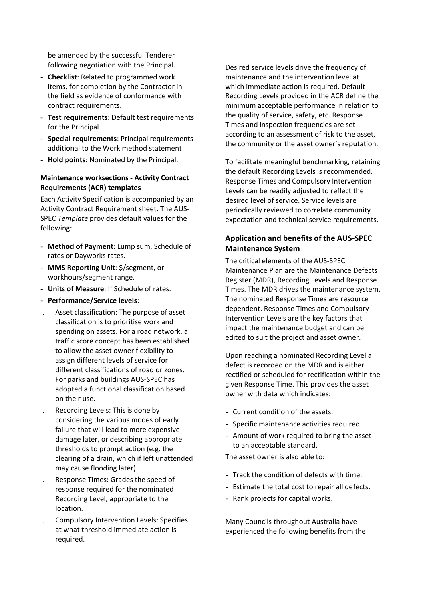be amended by the successful Tenderer following negotiation with the Principal.

- **Checklist**: Related to programmed work items, for completion by the Contractor in the field as evidence of conformance with contract requirements.
- **Test requirements**: Default test requirements for the Principal.
- **Special requirements**: Principal requirements additional to the Work method statement
- **Hold points**: Nominated by the Principal.

# **Maintenance worksections ‐ Activity Contract Requirements (ACR) templates**

Each Activity Specification is accompanied by an Activity Contract Requirement sheet. The AUS‐ SPEC *Template* provides default values for the following:

- **Method of Payment**: Lump sum, Schedule of rates or Dayworks rates.
- **MMS Reporting Unit**: \$/segment, or workhours/segment range.
- **Units of Measure**: If Schedule of rates.
- **Performance/Service levels**:
- . Asset classification: The purpose of asset classification is to prioritise work and spending on assets. For a road network, a traffic score concept has been established to allow the asset owner flexibility to assign different levels of service for different classifications of road or zones. For parks and buildings AUS‐SPEC has adopted a functional classification based on their use.
- . Recording Levels: This is done by considering the various modes of early failure that will lead to more expensive damage later, or describing appropriate thresholds to prompt action (e.g. the clearing of a drain, which if left unattended may cause flooding later).
- . Response Times: Grades the speed of response required for the nominated Recording Level, appropriate to the location.
- . Compulsory Intervention Levels: Specifies at what threshold immediate action is required.

Desired service levels drive the frequency of maintenance and the intervention level at which immediate action is required. Default Recording Levels provided in the ACR define the minimum acceptable performance in relation to the quality of service, safety, etc. Response Times and inspection frequencies are set according to an assessment of risk to the asset, the community or the asset owner's reputation.

To facilitate meaningful benchmarking, retaining the default Recording Levels is recommended. Response Times and Compulsory Intervention Levels can be readily adjusted to reflect the desired level of service. Service levels are periodically reviewed to correlate community expectation and technical service requirements.

# **Application and benefits of the AUS‐SPEC Maintenance System**

The critical elements of the AUS‐SPEC Maintenance Plan are the Maintenance Defects Register (MDR), Recording Levels and Response Times. The MDR drives the maintenance system. The nominated Response Times are resource dependent. Response Times and Compulsory Intervention Levels are the key factors that impact the maintenance budget and can be edited to suit the project and asset owner.

Upon reaching a nominated Recording Level a defect is recorded on the MDR and is either rectified or scheduled for rectification within the given Response Time. This provides the asset owner with data which indicates:

- Current condition of the assets.
- Specific maintenance activities required.
- Amount of work required to bring the asset to an acceptable standard.

The asset owner is also able to:

- Track the condition of defects with time.
- Estimate the total cost to repair all defects.
- Rank projects for capital works.

Many Councils throughout Australia have experienced the following benefits from the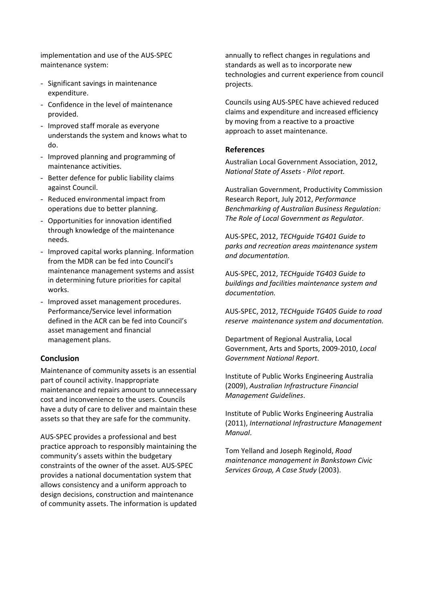implementation and use of the AUS‐SPEC maintenance system:

- Significant savings in maintenance expenditure.
- Confidence in the level of maintenance provided.
- Improved staff morale as everyone understands the system and knows what to do.
- Improved planning and programming of maintenance activities.
- Better defence for public liability claims against Council.
- Reduced environmental impact from operations due to better planning.
- Opportunities for innovation identified through knowledge of the maintenance needs.
- Improved capital works planning. Information from the MDR can be fed into Council's maintenance management systems and assist in determining future priorities for capital works.
- Improved asset management procedures. Performance/Service level information defined in the ACR can be fed into Council's asset management and financial management plans.

# **Conclusion**

Maintenance of community assets is an essential part of council activity. Inappropriate maintenance and repairs amount to unnecessary cost and inconvenience to the users. Councils have a duty of care to deliver and maintain these assets so that they are safe for the community.

AUS‐SPEC provides a professional and best practice approach to responsibly maintaining the community's assets within the budgetary constraints of the owner of the asset. AUS‐SPEC provides a national documentation system that allows consistency and a uniform approach to design decisions, construction and maintenance of community assets. The information is updated annually to reflect changes in regulations and standards as well as to incorporate new technologies and current experience from council projects.

Councils using AUS‐SPEC have achieved reduced claims and expenditure and increased efficiency by moving from a reactive to a proactive approach to asset maintenance.

# **References**

Australian Local Government Association, 2012, *National State of Assets ‐ Pilot report.*

Australian Government, Productivity Commission Research Report, July 2012, *Performance Benchmarking of Australian Business Regulation: The Role of Local Government as Regulator.*

AUS‐SPEC, 2012, *TECHguide TG401 Guide to parks and recreation areas maintenance system and documentation.*

AUS‐SPEC, 2012, *TECHguide TG403 Guide to buildings and facilities maintenance system and documentation.*

AUS‐SPEC, 2012, *TECHguide TG405 Guide to road reserve maintenance system and documentation.*

Department of Regional Australia, Local Government, Arts and Sports, 2009‐2010, *Local Government National Report*.

Institute of Public Works Engineering Australia (2009), *Australian Infrastructure Financial Management Guidelines*.

Institute of Public Works Engineering Australia (2011), *International Infrastructure Management Manual*.

Tom Yelland and Joseph Reginold, *Road maintenance management in Bankstown Civic Services Group, A Case Study* (2003).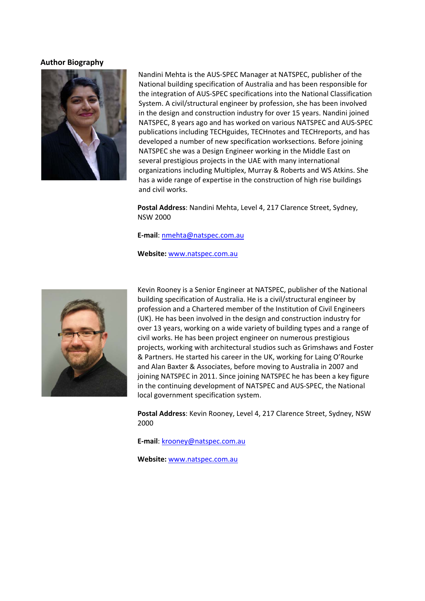# **Author Biography**



Nandini Mehta is the AUS‐SPEC Manager at NATSPEC, publisher of the National building specification of Australia and has been responsible for the integration of AUS‐SPEC specifications into the National Classification System. A civil/structural engineer by profession, she has been involved in the design and construction industry for over 15 years. Nandini joined NATSPEC, 8 years ago and has worked on various NATSPEC and AUS‐SPEC publications including TECHguides, TECHnotes and TECHreports, and has developed a number of new specification worksections. Before joining NATSPEC she was a Design Engineer working in the Middle East on several prestigious projects in the UAE with many international organizations including Multiplex, Murray & Roberts and WS Atkins. She has a wide range of expertise in the construction of high rise buildings and civil works.

**Postal Address**: Nandini Mehta, Level 4, 217 Clarence Street, Sydney, NSW 2000

**E‐mail**: nmehta@natspec.com.au

**Website:** www.natspec.com.au



Kevin Rooney is a Senior Engineer at NATSPEC, publisher of the National building specification of Australia. He is a civil/structural engineer by profession and a Chartered member of the Institution of Civil Engineers (UK). He has been involved in the design and construction industry for over 13 years, working on a wide variety of building types and a range of civil works. He has been project engineer on numerous prestigious projects, working with architectural studios such as Grimshaws and Foster & Partners. He started his career in the UK, working for Laing O'Rourke and Alan Baxter & Associates, before moving to Australia in 2007 and joining NATSPEC in 2011. Since joining NATSPEC he has been a key figure in the continuing development of NATSPEC and AUS‐SPEC, the National local government specification system.

**Postal Address**: Kevin Rooney, Level 4, 217 Clarence Street, Sydney, NSW 2000

**E‐mail**: krooney@natspec.com.au

**Website:** www.natspec.com.au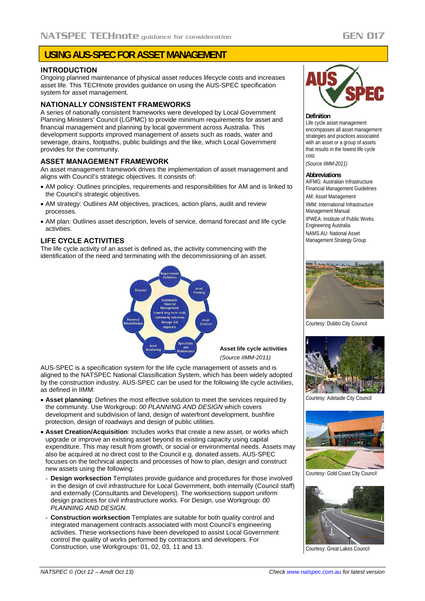# **USING AUS-SPEC FOR ASSET MANAGEMENT**

# **INTRODUCTION**

Ongoing planned maintenance of physical asset reduces lifecycle costs and increases asset life. This TECHnote provides guidance on using the AUS-SPEC specification system for asset management.

# **NATIONALLY CONSISTENT FRAMEWORKS**

A series of nationally consistent frameworks were developed by Local Government Planning Ministers' Council (LGPMC) to provide minimum requirements for asset and financial management and planning by local government across Australia. This development supports improved management of assets such as roads, water and sewerage, drains, footpaths, public buildings and the like, which Local Government provides for the community.

## **ASSET MANAGEMENT FRAMEWORK**

An asset management framework drives the implementation of asset management and aligns with Council's strategic objectives. It consists of:

- AM policy: Outlines principles, requirements and responsibilities for AM and is linked to the Council's strategic objectives.
- AM strategy: Outlines AM objectives, practices, action plans, audit and review processes.
- AM plan: Outlines asset description, levels of service, demand forecast and life cycle activities.

# **LIFE CYCLE ACTIVITIES**

The life cycle activity of an asset is defined as, the activity commencing with the identification of the need and terminating with the decommissioning of an asset.



**Asset life cycle activities**  *(Source IIMM-2011)*

AUS-SPEC is a specification system for the life cycle management of assets and is aligned to the NATSPEC National Classification System, which has been widely adopted by the construction industry. AUS-SPEC can be used for the following life cycle activities, as defined in IIMM:

- **Asset planning**: Defines the most effective solution to meet the services required by the community. Use Workgroup: *00 PLANNING AND DESIGN* which covers development and subdivision of land, design of waterfront development, bushfire protection, design of roadways and design of public utilities.
- **Asset Creation/Acquisition**: Includes works that create a new asset, or works which upgrade or improve an existing asset beyond its existing capacity using capital expenditure. This may result from growth, or social or environmental needs. Assets may also be acquired at no direct cost to the Council e.g. donated assets. AUS-SPEC focuses on the technical aspects and processes of how to plan, design and construct new assets using the following:
- **Design worksection** Templates provide guidance and procedures for those involved in the design of civil infrastructure for Local Government, both internally (Council staff) and externally (Consultants and Developers). The worksections support uniform design practices for civil infrastructure works. For Design, use Workgroup: *00 PLANNING AND DESIGN.*
- **Construction worksection** Templates are suitable for both quality control and integrated management contracts associated with most Council's engineering activities. These worksections have been developed to assist Local Government control the quality of works performed by contractors and developers. For Construction, use Workgroups: 01, 02, 03, 11 and 13.



#### **Definition**

Life cycle asset management encompasses all asset management strategies and practices associated with an asset or a group of assets that results in the lowest life cycle cost.

*(Source IIMM-2011)* 

### **Abbreviations**

AIFMG: Australian Infrastructure Financial Management Guidelines AM: Asset Management IIMM: International Infrastructure Management Manual IPWEA: Institute of Public Works Engineering Australia NAMS.AU: National Asset Management Strategy Group



Courtesy: Dubbo City Council



Courtesy: Adelaide City Council



Courtesy: Gold Coast City Council



Courtesy: Great Lakes Council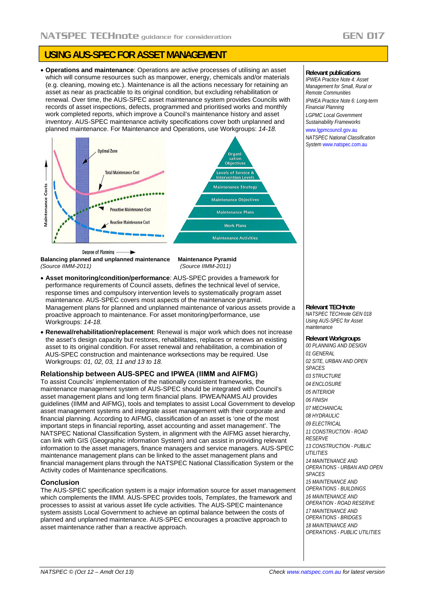# **USING AUS-SPEC FOR ASSET MANAGEMENT**

 **Operations and maintenance**: Operations are active processes of utilising an asset which will consume resources such as manpower, energy, chemicals and/or materials (e.g. cleaning, mowing etc.). Maintenance is all the actions necessary for retaining an asset as near as practicable to its original condition, but excluding rehabilitation or renewal. Over time, the AUS-SPEC asset maintenance system provides Councils with records of asset inspections, defects, programmed and prioritised works and monthly work completed reports, which improve a Council's maintenance history and asset inventory. AUS-SPEC maintenance activity specifications cover both unplanned and planned maintenance. For Maintenance and Operations, use Workgroups: *14*-*18.* 



**Balancing planned and unplanned maintenance Maintenance Pyramid**  *(Source IIMM-2011) (Source IIMM-2011)* 

- **Asset monitoring/condition/performance**: AUS-SPEC provides a framework for performance requirements of Council assets, defines the technical level of service, response times and compulsory intervention levels to systematically program asset maintenance. AUS-SPEC covers most aspects of the maintenance pyramid. Management plans for planned and unplanned maintenance of various assets provide a proactive approach to maintenance. For asset monitoring/performance, use Workgroups: *14-18.*
- **Renewal/rehabilitation/replacement**: Renewal is major work which does not increase the asset's design capacity but restores, rehabilitates, replaces or renews an existing asset to its original condition. For asset renewal and rehabilitation, a combination of AUS-SPEC construction and maintenance worksections may be required. Use Workgroups: *01, 02, 03, 11 and 13 to 18.*

# **Relationship between AUS-SPEC and IPWEA (IIMM and AIFMG)**

To assist Councils' implementation of the nationally consistent frameworks, the maintenance management system of AUS-SPEC should be integrated with Council's asset management plans and long term financial plans. IPWEA/NAMS.AU provides guidelines (IIMM and AIFMG), tools and templates to assist Local Government to develop asset management systems and integrate asset management with their corporate and financial planning. According to AIFMG, classification of an asset is 'one of the most important steps in financial reporting, asset accounting and asset management'. The NATSPEC National Classification System, in alignment with the AIFMG asset hierarchy, can link with GIS (Geographic information System) and can assist in providing relevant information to the asset managers, finance managers and service managers. AUS-SPEC maintenance management plans can be linked to the asset management plans and financial management plans through the NATSPEC National Classification System or the Activity codes of Maintenance specifications.

# **Conclusion**

The AUS-SPEC specification system is a major information source for asset management which complements the IIMM. AUS-SPEC provides tools, *Templates*, the framework and processes to assist at various asset life cycle activities. The AUS-SPEC maintenance system assists Local Government to achieve an optimal balance between the costs of planned and unplanned maintenance. AUS-SPEC encourages a proactive approach to asset maintenance rather than a reactive approach.

### **Relevant publications**

*IPWEA Practice Note 4: Asset Management for Small, Rural or Remote Communities IPWEA Practice Note 6: Long-term Financial Planning LGPMC Local Government* 

*Sustainability Frameworks*  www.lgpmcouncil.gov.au

*NATSPEC National Classification System* www.natspec.com.au

**Relevant TECHnote** 

*NATSPEC TECHnote GEN 018 Using AUS-SPEC for Asset maintenance* 

# **Relevant Workgroups**

*00 PLANNING AND DESIGN 01 GENERAL 02 SITE, URBAN AND OPEN SPACES 03 STRUCTURE 04 ENCLOSURE 05 INTERIOR 06 FINISH 07 MECHANICAL 08 HYDRAULIC 09 ELECTRICAL 11 CONSTRUCTION - ROAD RESERVE 13 CONSTRUCTION - PUBLIC UTILITIES 14 MAINTENANCE AND OPERATIONS - URBAN AND OPEN SPACES 15 MAINTENANCE AND OPERATIONS - BUILDINGS 16 MAINTENANCE AND OPERATION - ROAD RESERVE 17 MAINTENANCE AND OPERATIONS - BRIDGES 18 MAINTENANCE AND OPERATIONS - PUBLIC UTILITIES*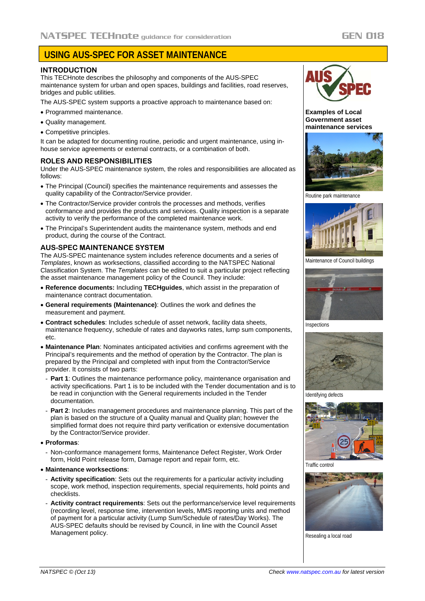# **USING AUS-SPEC FOR ASSET MAINTENANCE**

# **INTRODUCTION**

This TECHnote describes the philosophy and components of the AUS-SPEC maintenance system for urban and open spaces, buildings and facilities, road reserves, bridges and public utilities.

The AUS-SPEC system supports a proactive approach to maintenance based on:

- Programmed maintenance.
- Quality management.
- Competitive principles.

It can be adapted for documenting routine, periodic and urgent maintenance, using inhouse service agreements or external contracts, or a combination of both.

## **ROLES AND RESPONSIBILITIES**

Under the AUS-SPEC maintenance system, the roles and responsibilities are allocated as follows:

- The Principal (Council) specifies the maintenance requirements and assesses the quality capability of the Contractor/Service provider.
- The Contractor/Service provider controls the processes and methods, verifies conformance and provides the products and services. Quality inspection is a separate activity to verify the performance of the completed maintenance work.
- The Principal's Superintendent audits the maintenance system, methods and end product, during the course of the Contract.

# **AUS-SPEC MAINTENANCE SYSTEM**

The AUS-SPEC maintenance system includes reference documents and a series of *Templates*, known as worksections, classified according to the NATSPEC National Classification System. The *Templates* can be edited to suit a particular project reflecting the asset maintenance management policy of the Council. They include:

- **Reference documents:** Including **TECHguides**, which assist in the preparation of maintenance contract documentation.
- **General requirements (Maintenance)**: Outlines the work and defines the measurement and payment.
- **Contract schedules**: Includes schedule of asset network, facility data sheets, maintenance frequency, schedule of rates and dayworks rates, lump sum components, etc.
- **Maintenance Plan**: Nominates anticipated activities and confirms agreement with the Principal's requirements and the method of operation by the Contractor. The plan is prepared by the Principal and completed with input from the Contractor/Service provider. It consists of two parts:
- **Part 1**: Outlines the maintenance performance policy, maintenance organisation and activity specifications. Part 1 is to be included with the Tender documentation and is to be read in conjunction with the General requirements included in the Tender documentation.
- **Part 2**: Includes management procedures and maintenance planning. This part of the plan is based on the structure of a Quality manual and Quality plan; however the simplified format does not require third party verification or extensive documentation by the Contractor/Service provider.

## **Proformas**:

- Non-conformance management forms, Maintenance Defect Register, Work Order form, Hold Point release form, Damage report and repair form, etc.

## **Maintenance worksections**:

- **Activity specification**: Sets out the requirements for a particular activity including scope, work method, inspection requirements, special requirements, hold points and checklists.
- **Activity contract requirements**: Sets out the performance/service level requirements (recording level, response time, intervention levels, MMS reporting units and method of payment for a particular activity (Lump Sum/Schedule of rates/Day Works). The AUS-SPEC defaults should be revised by Council, in line with the Council Asset Management policy.



**Examples of Local Government asset maintenance services** 



Routine park maintenance



Maintenance of Council buildings



Inspections



Identifying defects



Traffic control



Resealing a local road